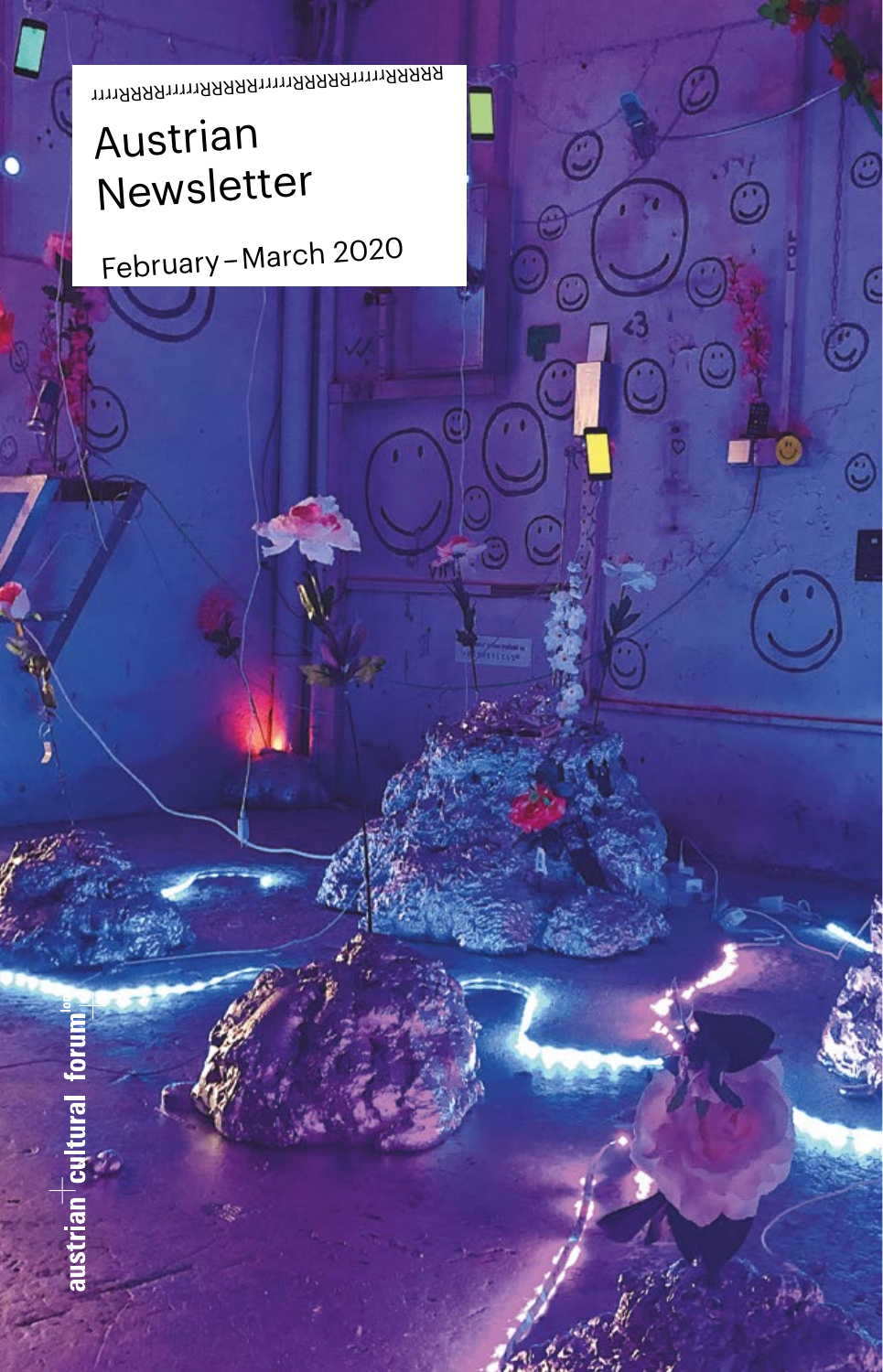RRRRRrrrrrRRRRRRRRRRrrrrRRRRRrrrr

 $\circledcirc$ 

 $\hat{c}$ 

Q

# Austrian Newsletter

February – March 2020

austrian cult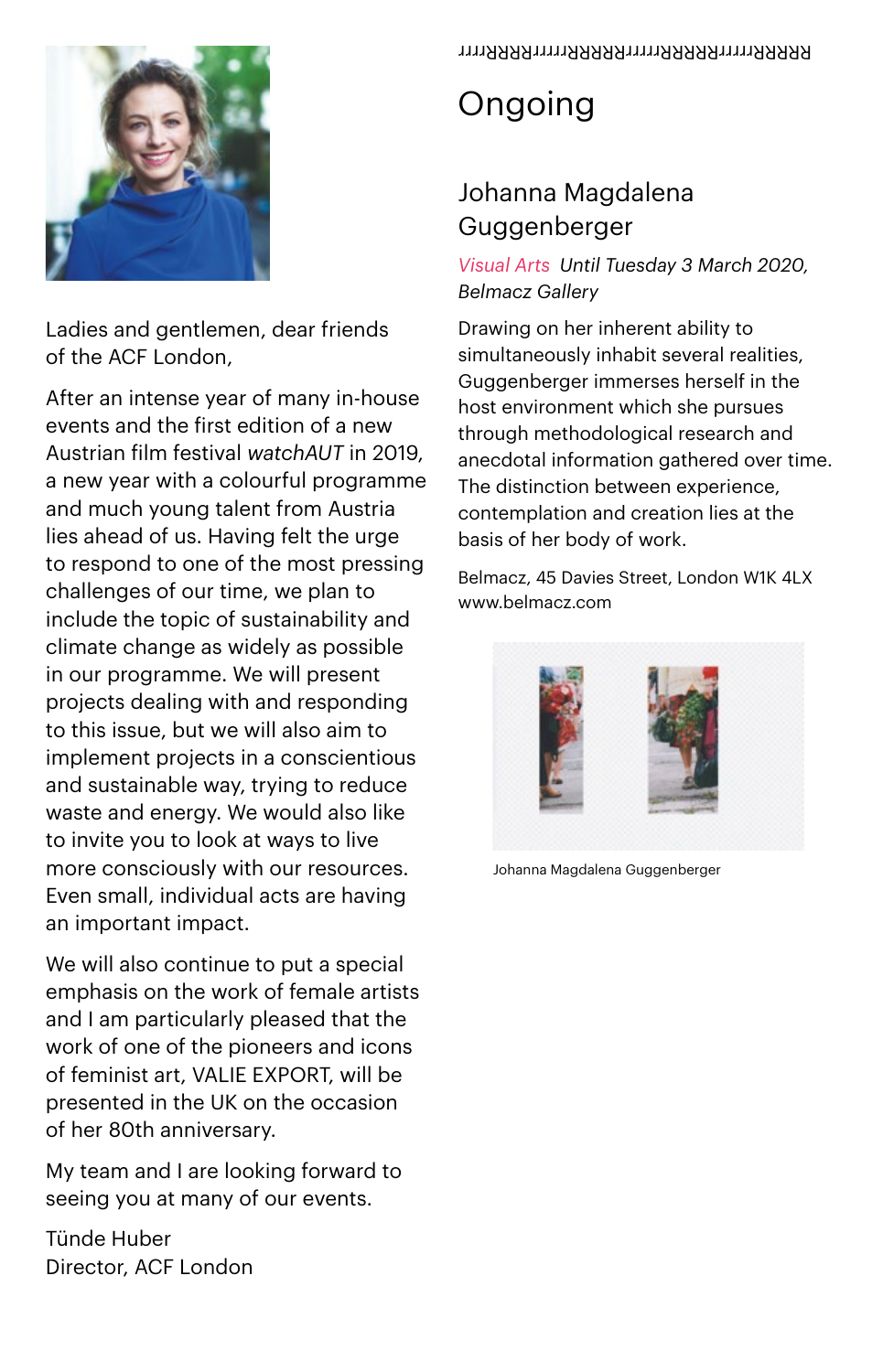

Ladies and gentlemen, dear friends of the ACF London,

After an intense year of many in-house events and the first edition of a new Austrian film festival *watchAUT* in 2019, a new year with a colourful programme and much young talent from Austria lies ahead of us. Having felt the urge to respond to one of the most pressing challenges of our time, we plan to include the topic of sustainability and climate change as widely as possible in our programme. We will present projects dealing with and responding to this issue, but we will also aim to implement projects in a conscientious and sustainable way, trying to reduce waste and energy. We would also like to invite you to look at ways to live more consciously with our resources. Even small, individual acts are having an important impact.

We will also continue to put a special emphasis on the work of female artists and I am particularly pleased that the work of one of the pioneers and icons of feminist art, VALIE EXPORT, will be presented in the UK on the occasion of her 80th anniversary.

My team and I are looking forward to seeing you at many of our events.

Tünde Huber Director, ACF London

# Ongoing

### Johanna Magdalena Guggenberger

#### *Visual Arts Until Tuesday 3 March 2020, Belmacz Gallery*

Drawing on her inherent ability to simultaneously inhabit several realities, Guggenberger immerses herself in the host environment which she pursues through methodological research and anecdotal information gathered over time. The distinction between experience, contemplation and creation lies at the basis of her body of work.

Belmacz, 45 Davies Street, London W1K 4LX [www.belmacz.com](http://www.belmacz.com)



Johanna Magdalena Guggenberger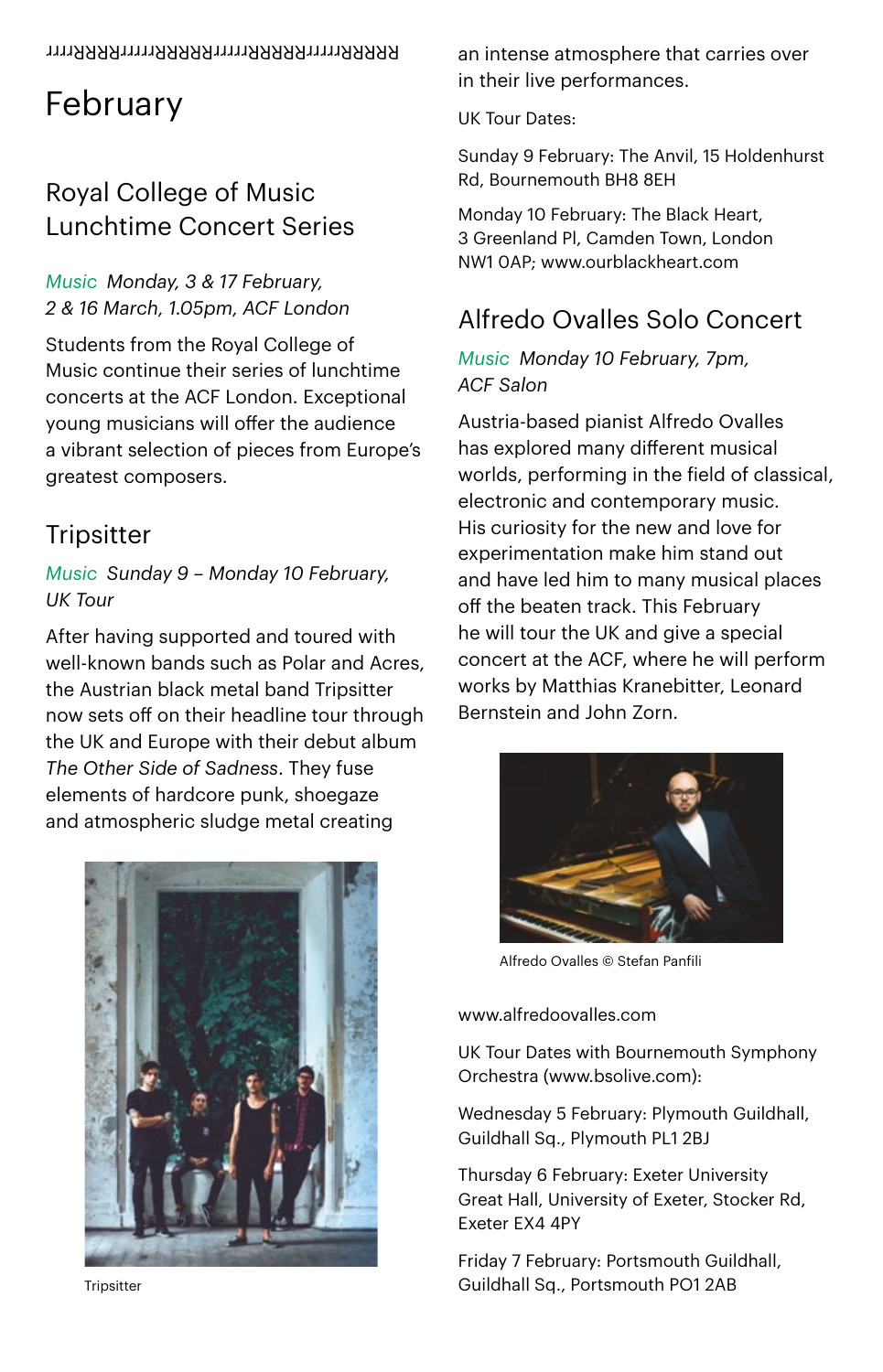# February

### Royal College of Music Lunchtime Concert Series

#### *Music Monday, 3 & 17 February, 2 & 16 March, 1.05pm, ACF London*

Students from the Royal College of Music continue their series of lunchtime concerts at the ACF London. Exceptional young musicians will offer the audience a vibrant selection of pieces from Europe's greatest composers.

### **Tripsitter**

#### *Music Sunday 9 – Monday 10 February, UK Tour*

After having supported and toured with well-known bands such as Polar and Acres, the Austrian black metal band Tripsitter now sets off on their headline tour through the UK and Europe with their debut album *The Other Side of Sadness*. They fuse elements of hardcore punk, shoegaze and atmospheric sludge metal creating



**Trinsitter** 

an intense atmosphere that carries over in their live performances.

UK Tour Dates:

Sunday 9 February: The Anvil, 15 Holdenhurst Rd, Bournemouth BH8 8EH

Monday 10 February: The Black Heart, 3 Greenland Pl, Camden Town, London NW1 0AP; www.ourblackheart.com

### Alfredo Ovalles Solo Concert

#### *Music Monday 10 February, 7pm, ACF Salon*

Austria-based pianist Alfredo Ovalles has explored many different musical worlds, performing in the field of classical, electronic and contemporary music. His curiosity for the new and love for experimentation make him stand out and have led him to many musical places off the beaten track. This February he will tour the UK and give a special concert at the ACF, where he will perform works by Matthias Kranebitter, Leonard Bernstein and John Zorn.



Alfredo Ovalles © Stefan Panfili

#### [www.alfredoovalles.com](http://www.alfredoovalles.com)

UK Tour Dates with Bournemouth Symphony Orchestra (www.bsolive.com):

Wednesday 5 February: Plymouth Guildhall, Guildhall Sq., Plymouth PL1 2BJ

Thursday 6 February: Exeter University Great Hall, University of Exeter, Stocker Rd, Exeter EX4 4PY

Friday 7 February: Portsmouth Guildhall, Guildhall Sq., Portsmouth PO1 2AB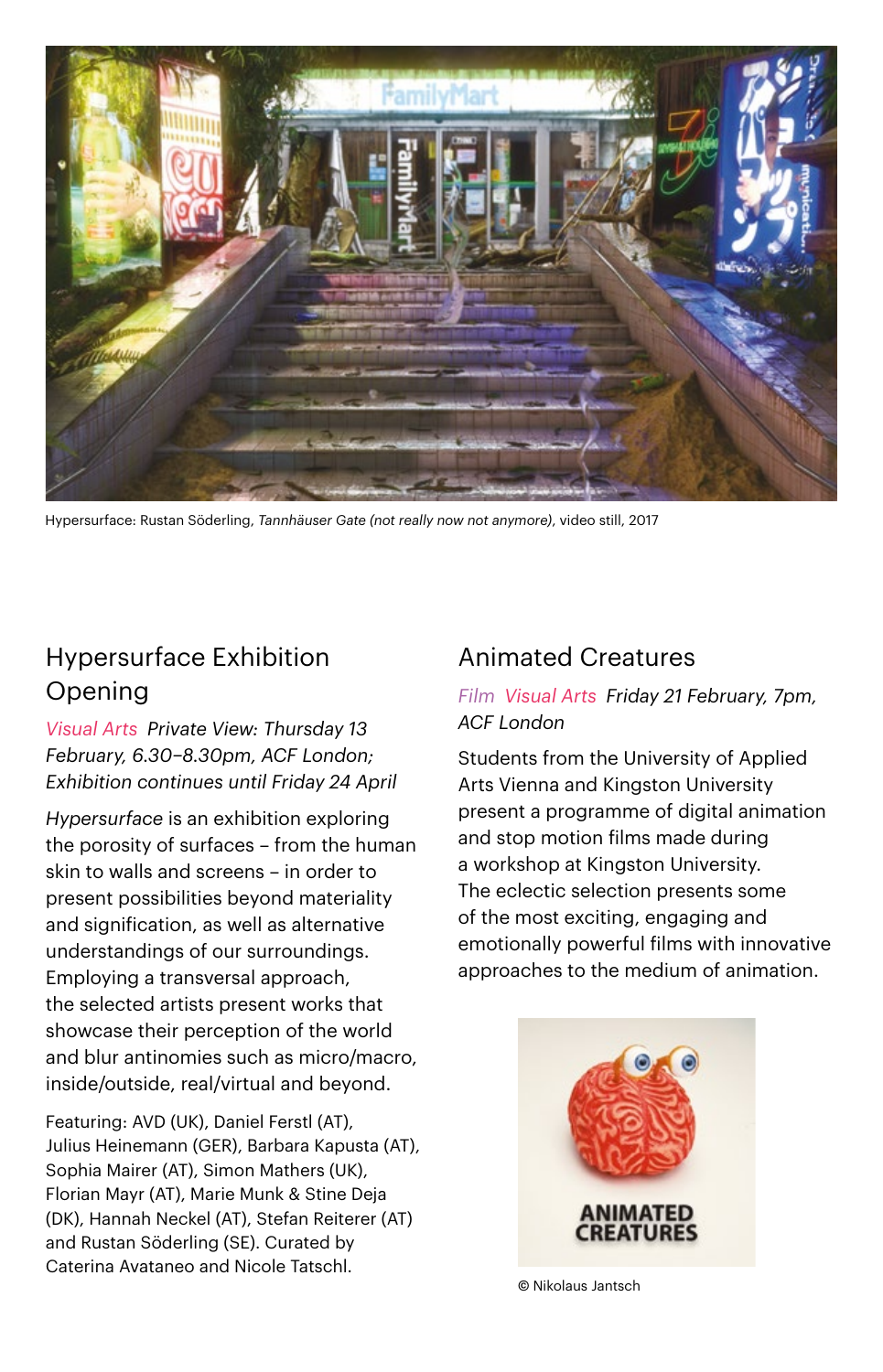

Hypersurface: Rustan Söderling, *Tannhäuser Gate (not really now not anymore)*, video still, 2017

### Hypersurface Exhibition Opening

*Visual Arts Private View: Thursday 13 February, 6.30–8.30pm, ACF London; Exhibition continues until Friday 24 April* 

*Hypersurface* is an exhibition exploring the porosity of surfaces – from the human skin to walls and screens – in order to present possibilities beyond materiality and signification, as well as alternative understandings of our surroundings. Employing a transversal approach, the selected artists present works that showcase their perception of the world and blur antinomies such as micro/macro, inside/outside, real/virtual and beyond.

Featuring: AVD (UK), Daniel Ferstl (AT), Julius Heinemann (GER), Barbara Kapusta (AT), Sophia Mairer (AT), Simon Mathers (UK), Florian Mayr (AT), Marie Munk & Stine Deja (DK), Hannah Neckel (AT), Stefan Reiterer (AT) and Rustan Söderling (SE). Curated by Caterina Avataneo and Nicole Tatschl.

#### Animated Creatures

#### *Film Visual Arts Friday 21 February, 7pm, ACF London*

Students from the University of Applied Arts Vienna and Kingston University present a programme of digital animation and stop motion films made during a workshop at Kingston University. The eclectic selection presents some of the most exciting, engaging and emotionally powerful films with innovative approaches to the medium of animation.



© Nikolaus Jantsch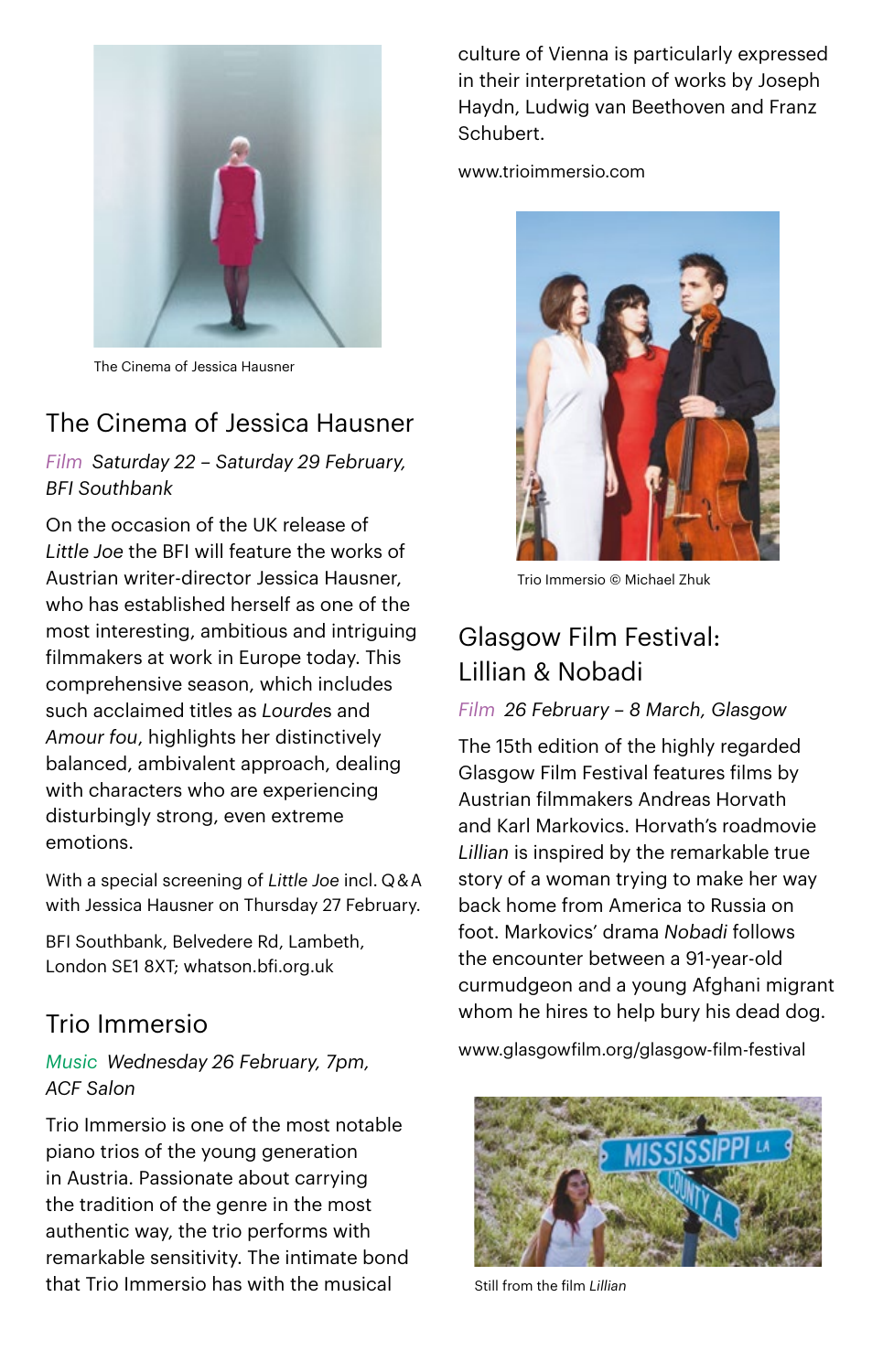

The Cinema of Jessica Hausner

### The Cinema of Jessica Hausner

*Film Saturday 22 – Saturday 29 February, BFI Southbank*

On the occasion of the UK release of *Little Joe* the BFI will feature the works of Austrian writer-director Jessica Hausner, who has established herself as one of the most interesting, ambitious and intriguing filmmakers at work in Europe today. This comprehensive season, which includes such acclaimed titles as *Lourde*s and *Amour fou*, highlights her distinctively balanced, ambivalent approach, dealing with characters who are experiencing disturbingly strong, even extreme emotions.

With a special screening of *Little Joe* incl. Q & A with Jessica Hausner on Thursday 27 February.

BFI Southbank, Belvedere Rd, Lambeth, London SE1 8XT; whatson.bfi.org.uk

### Trio Immersio

#### *Music Wednesday 26 February, 7pm, ACF Salon*

Trio Immersio is one of the most notable piano trios of the young generation in Austria. Passionate about carrying the tradition of the genre in the most authentic way, the trio performs with remarkable sensitivity. The intimate bond that Trio Immersio has with the musical

culture of Vienna is particularly expressed in their interpretation of works by Joseph Haydn, Ludwig van Beethoven and Franz Schubert.

[www.trioimmersio.com](http://www.trioimmersio.com)



Trio Immersio © Michael Zhuk

### Glasgow Film Festival: Lillian & Nobadi

#### *Film 26 February – 8 March, Glasgow*

The 15th edition of the highly regarded Glasgow Film Festival features films by Austrian filmmakers Andreas Horvath and Karl Markovics. Horvath's roadmovie *Lillian* is inspired by the remarkable true story of a woman trying to make her way back home from America to Russia on foot. Markovics' drama *Nobadi* follows the encounter between a 91-year-old curmudgeon and a young Afghani migrant whom he hires to help bury his dead dog.

www.glasgowfilm.org/glasgow-film-festival



Still from the film *Lillian*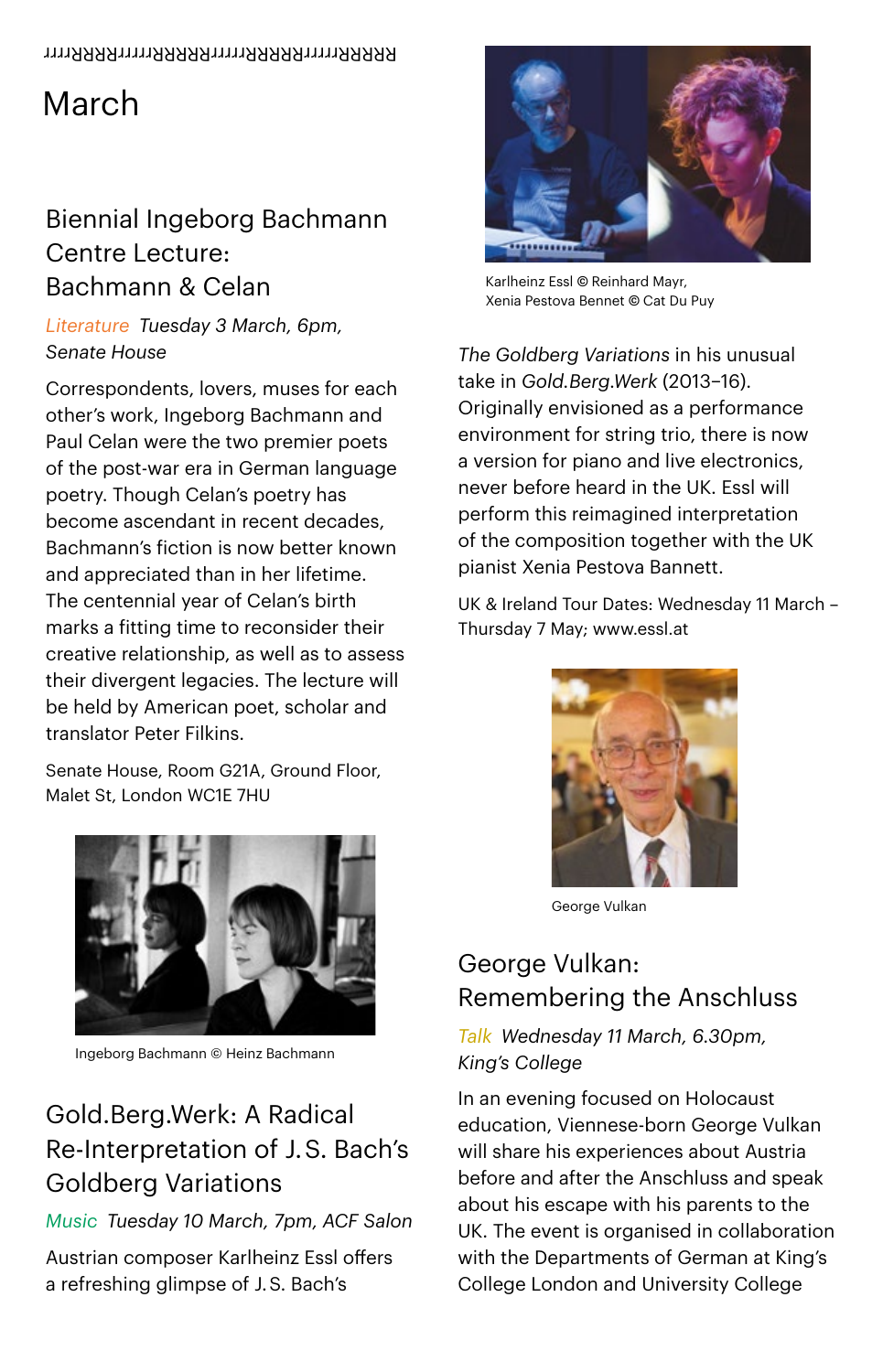# March

### Biennial Ingeborg Bachmann Centre Lecture: Bachmann & Celan

*Literature Tuesday 3 March, 6pm, Senate House*

Correspondents, lovers, muses for each other's work, Ingeborg Bachmann and Paul Celan were the two premier poets of the post-war era in German language poetry. Though Celan's poetry has become ascendant in recent decades, Bachmann's fiction is now better known and appreciated than in her lifetime. The centennial year of Celan's birth marks a fitting time to reconsider their creative relationship, as well as to assess their divergent legacies. The lecture will be held by American poet, scholar and translator Peter Filkins.

Senate House, Room G21A, Ground Floor, Malet St, London WC1E 7HU



## Gold.Berg.Werk: A Radical Re-Interpretation of J. S. Bach's Goldberg Variations

#### *Music Tuesday 10 March, 7pm, ACF Salon*

Austrian composer [Karlheinz Essl](http://www.essl.at/index.html) offers a refreshing glimpse of J. S. Bach's



Karlheinz Essl © Reinhard Mayr, Xenia Pestova Bennet © Cat Du Puy

*The Goldberg Variations* in his unusual take in *[Gold.Berg.Werk](http://www.essl.at/works/goldbergwerk.html)* (2013–16). Originally envisioned as a performance environment for string trio, there is now a version for piano and live electronics, never before heard in the UK. Essl will perform this reimagined interpretation of the composition together with the UK pianist Xenia Pestova Bannett.

UK & Ireland Tour Dates: Wednesday 11 March – Thursday 7 May; [www.essl.at](http://www.essl.at/)



George Vulkan

### George Vulkan: Remembering the Anschluss

#### *Talk Wednesday 11 March, 6.30pm, King's College*

In an evening focused on Holocaust education, Viennese-born George Vulkan will share his experiences about Austria before and after the Anschluss and speak about his escape with his parents to the UK. The event is organised in collaboration with the Departments of German at King's College London and University College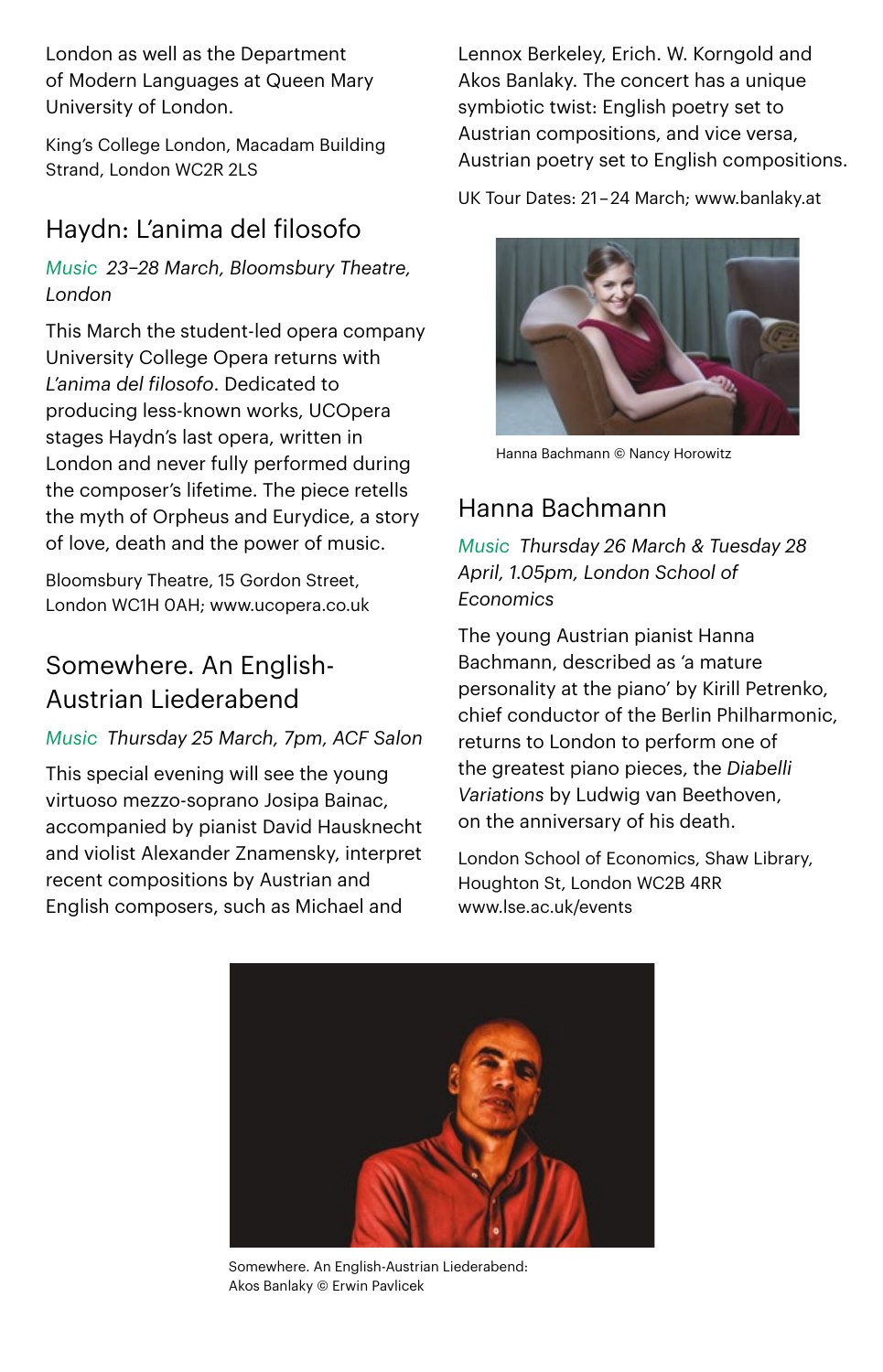London as well as the Department of Modern Languages at Queen Mary University of London.

King's College London, Macadam Building Strand, London WC2R 2LS

### Haydn: L'anima del filosofo

*Music 23–28 March, Bloomsbury Theatre, London*

This March the student-led opera company University College Opera returns with *L'anima del filosofo*. Dedicated to producing less-known works, UCOpera stages Haydn's last opera, written in London and never fully performed during the composer's lifetime. The piece retells the myth of Orpheus and Eurydice, a story of love, death and the power of music.

Bloomsbury Theatre, 15 Gordon Street, London WC1H 0AH; www.ucopera.co.uk

### Somewhere. An English-Austrian Liederabend

#### *Music Thursday 25 March, 7pm, ACF Salon*

This special evening will see the young virtuoso mezzo-soprano Josipa Bainac, accompanied by pianist David Hausknecht and violist Alexander Znamensky, interpret recent compositions by Austrian and English composers, such as Michael and

Lennox Berkeley, Erich. W. Korngold and Akos Banlaky. The concert has a unique symbiotic twist: English poetry set to Austrian compositions, and vice versa, Austrian poetry set to English compositions.

UK Tour Dates: 21 – 24 March; www.banlaky.at



Hanna Bachmann © Nancy Horowitz

### Hanna Bachmann

*Music Thursday 26 March & Tuesday 28 April, 1.05pm, London School of Economics*

The young Austrian pianist Hanna Bachmann, described as 'a mature personality at the piano' by Kirill Petrenko, chief conductor of the Berlin Philharmonic, returns to London to perform one of the greatest piano pieces, the *Diabelli Variations* by Ludwig van Beethoven, on the anniversary of his death.

London School of Economics, Shaw Library, Houghton St, London WC2B 4RR [www.lse.ac.uk/events](http://www.lse.ac.uk/Events)



Somewhere. An English-Austrian Liederabend: Akos Banlaky © Erwin Pavlicek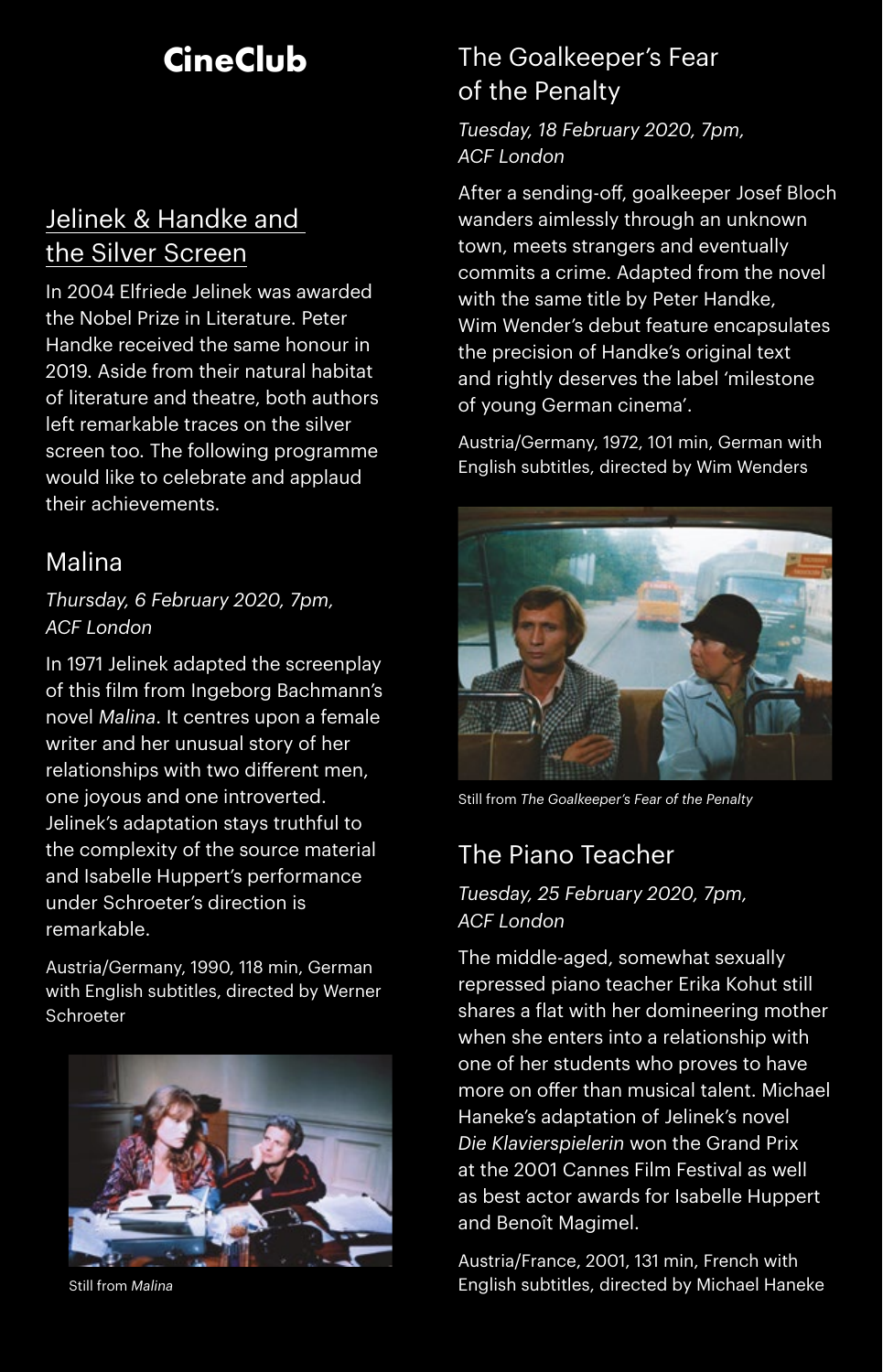# **CineClub**

### Jelinek & Handke and the Silver Screen

In 2004 Elfriede Jelinek was awarded the Nobel Prize in Literature. Peter Handke received the same honour in 2019. Aside from their natural habitat of literature and theatre, both authors left remarkable traces on the silver screen too. The following programme would like to celebrate and applaud their achievements.

### Malina

#### *Thursday, 6 February 2020, 7pm, ACF London*

In 1971 Jelinek adapted the screenplay of this film from Ingeborg Bachmann's novel *Malina*. It centres upon a female writer and her unusual story of her relationships with two different men, one joyous and one introverted. Jelinek's adaptation stays truthful to the complexity of the source material and Isabelle Huppert's performance under Schroeter's direction is remarkable.

Austria/Germany, 1990, 118 min, German with English subtitles, directed by Werner Schroeter



Still from *Malina*

### The Goalkeeper's Fear of the Penalty

*Tuesday, 18 February 2020, 7pm, ACF London*

After a sending-off, goalkeeper Josef Bloch wanders aimlessly through an unknown town, meets strangers and eventually commits a crime. Adapted from the novel with the same title by Peter Handke, Wim Wender's debut feature encapsulates the precision of Handke's original text and rightly deserves the label 'milestone of young German cinema'.

Austria/Germany, 1972, 101 min, German with English subtitles, directed by Wim Wenders



Still from *The Goalkeeper's Fear of the Penalty*

### The Piano Teacher

#### *Tuesday, 25 February 2020, 7pm, ACF London*

The middle-aged, somewhat sexually repressed piano teacher Erika Kohut still shares a flat with her domineering mother when she enters into a relationship with one of her students who proves to have more on offer than musical talent. Michael Haneke's adaptation of Jelinek's novel *Die Klavierspielerin* won the Grand Prix at the 2001 Cannes Film Festival as well as best actor awards for Isabelle Huppert and Benoît Magimel.

Austria/France, 2001, 131 min, French with English subtitles, directed by Michael Haneke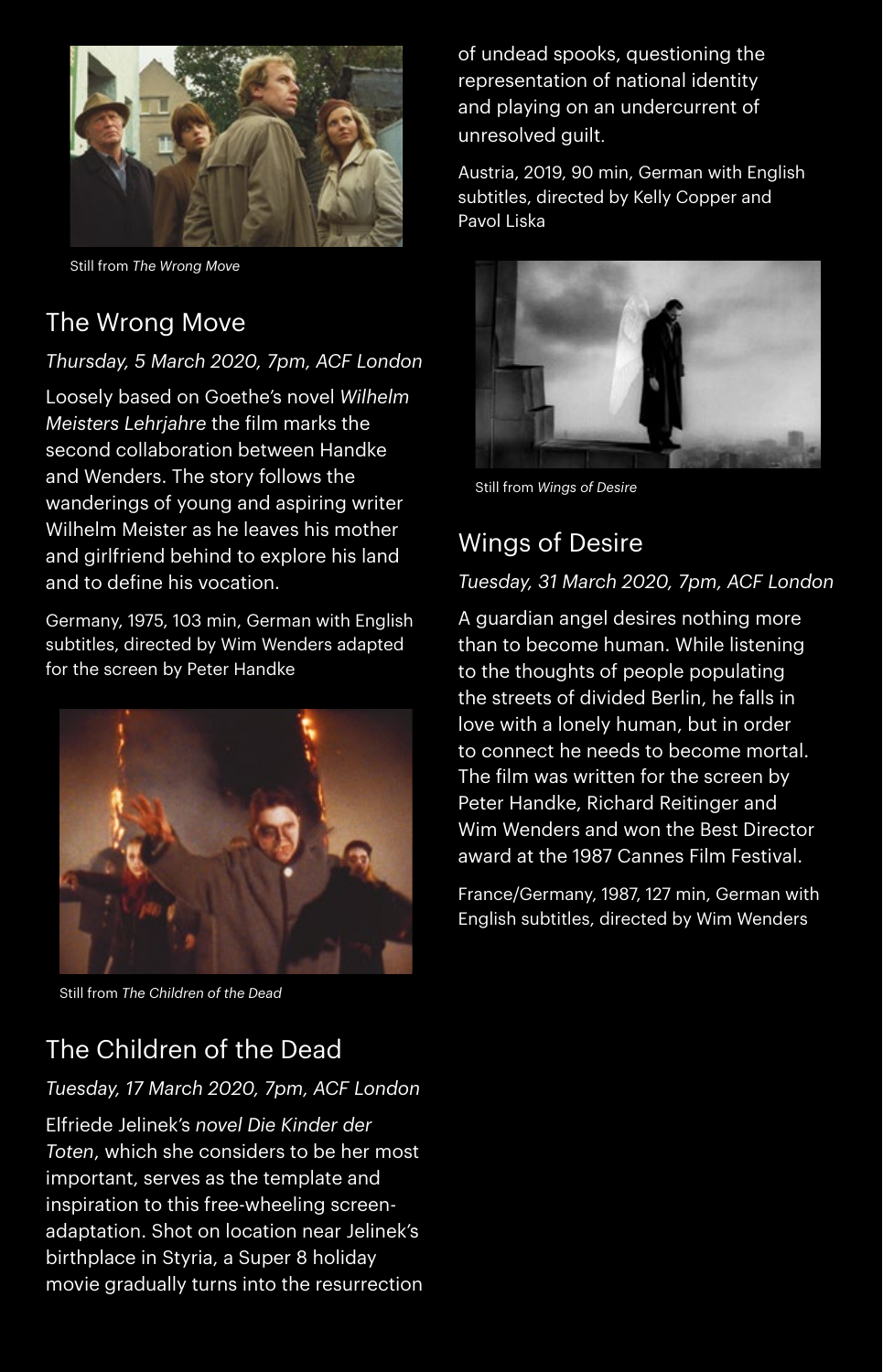

Still from *The Wrong Move*

### The Wrong Move

#### *Thursday, 5 March 2020, 7pm, ACF London*

Loosely based on Goethe's novel *Wilhelm Meisters Lehrjahre* the film marks the second collaboration between Handke and Wenders. The story follows the wanderings of young and aspiring writer Wilhelm Meister as he leaves his mother and girlfriend behind to explore his land and to define his vocation.

Germany, 1975, 103 min, German with English subtitles, directed by Wim Wenders adapted for the screen by Peter Handke



Still from *The Children of the Dead*

of undead spooks, questioning the representation of national identity and playing on an undercurrent of unresolved guilt.

Austria, 2019, 90 min, German with English subtitles, directed by Kelly Copper and Pavol Liska



Still from *Wings of Desire*

### Wings of Desire

#### *Tuesday, 31 March 2020, 7pm, ACF London*

A guardian angel desires nothing more than to become human. While listening to the thoughts of people populating the streets of divided Berlin, he falls in love with a lonely human, but in order to connect he needs to become mortal. The film was written for the screen by Peter Handke, Richard Reitinger and Wim Wenders and won the Best Director award at the 1987 Cannes Film Festival.

France/Germany, 1987, 127 min, German with English subtitles, directed by Wim Wenders

### The Children of the Dead

#### *Tuesday, 17 March 2020, 7pm, ACF London*

Elfriede Jelinek's *novel Die Kinder der Toten*, which she considers to be her most important, serves as the template and inspiration to this free-wheeling screenadaptation. Shot on location near Jelinek's birthplace in Styria, a Super 8 holiday movie gradually turns into the resurrection